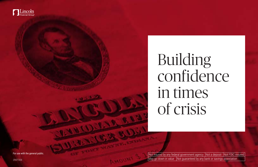

# Building confidence in times of crisis

2997308

Not insured by any federal government agency  $\sqrt{\frac{N}{N}}$  a deposit  $\sqrt{\frac{N}{N}}$  Not FDIC-insured  $\vert$  May go down in value  $\vert$  Not guaranteed by any bank or savings association

For use with the general public.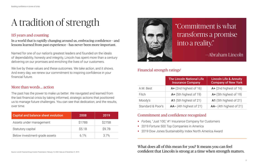# A tradition of strength

### 115 years and counting

In a world that is rapidly changing around us, embracing confidence — and lessons learned from past experience — has never been more important.

Named for one of our nation's greatest leaders and founded on the ideals of dependability, honesty and integrity, Lincoln has spent more than a century delivering on our promises and enriching the lives of our customers.

We live by these values and these outcomes. We take action, and it shows. And every day, we renew our commitment to inspiring confidence in your financial future.

### More than words … action

The past has the power to make us better. We navigated and learned from the last financial crisis by taking informed, strategic actions that positioned us to manage future challenges. You can see that dedication, and the results, over time.

- 
- 
- *Forbes,* "Just 100," #1 Insurance Company for Customers 2019 *Fortune* 500 Top Companies in America **2019 Dow Jones Sustainability Index North America Award**

|                   | <b>The Lincoln National Life</b><br><b>Insurance Company</b> | <b>Lincoln Life &amp; Annuity</b><br><b>Company of New York</b> |
|-------------------|--------------------------------------------------------------|-----------------------------------------------------------------|
| A.M. Best         | A+ (2nd highest of 16)                                       | $A+$ (2nd highest of 16)                                        |
| Fitch             | A+ (5th highest of 19)                                       | A+ (5th highest of 19)                                          |
| Moody's           | A1 (5th highest of 21)                                       | A1 (5th highest of 21)                                          |
| Standard & Poor's | $AA - (4th highest of 21)$                                   | AA- (4th highest of 21)                                         |

What does all of this mean for you? It means you can feel

## confident that Lincoln is strong at a time when strength matters.

| <b>Capital and balance sheet evolution</b> | 2008   | 2019   |  |
|--------------------------------------------|--------|--------|--|
| Assets under management                    | \$178B | \$275B |  |
| Statutory capital                          | \$5.1B | \$9.7B |  |
| Below investment-grade assets              | 6.1%   | 3.7%   |  |

## Commitment and confidence recognized

## "Commitment is what transforms a promise into a reality."

## Financial strength ratings<sup>1</sup>

—Abraham Lincoln

Source: Lincoln Financial Group Investor Presentation, February 12, 2020. Data as of December 31, 2019.

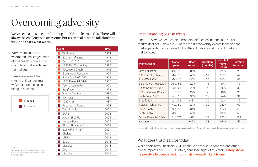# Overcoming adversity

We've seen a lot since our founding in 1905 and learned this: There will always be challenges to overcome, but it's critical to stand tall along the way. And that's what we do.

| <b>Event</b>                                       | <b>Date</b> |
|----------------------------------------------------|-------------|
| $\mathbb{R}^n$<br>World War I                      | 1914        |
| Spanish Influenza                                  | 1918        |
| Crash of 1929<br>$\mathbb{R}^2$                    | 1929        |
| $\mathcal{L}_{\mathcal{A}}$<br>1937 Fed Tightening | 1937        |
| $\mathcal{L}_{\mathcal{A}}$<br>Post-WWII Crash     | 1946        |
| $\mathcal{L}_{\text{max}}$<br>Eisenhower Recession | 1956        |
| $\mathcal{O}(\mathbb{R})$<br>Flash Crash of 1962   | 1962        |
| $\mathbb{R}^2$<br>1966 Financial Crisis            | 1966        |
| $\mathbb{R}^3$<br>Tech Crash 1970                  | 1970        |
| $\mathcal{L}_{\mathcal{A}}$<br>Stagflation         | 1973        |
| $\mathcal{L}_{\mathcal{A}}$<br>Volcker Tightening  | 1980        |
| $\mathbb{R}^2$<br><b>HIV/AIDS</b>                  | 1981        |
| 1987 Crash                                         | 1987        |
| $\mathcal{L}_{\mathcal{A}}$<br>Pneumonic Plaque    | 1994        |
| T.<br><b>Tech Bubble</b>                           | 2000        |
| <b>SARS</b>                                        | 2003        |
| $\mathcal{L}^{\text{max}}$<br>Avian (Bird) Flu     | 2006        |
| Dengue Fever                                       | 2006        |
| $\mathbb{R}^n$<br><b>Global Financial Crisis</b>   | 2008        |
| T.<br>Swine Flu (H1N1)                             | 2009        |
| Cholera                                            | 2010        |
| <b>MERS</b>                                        | 2013        |
| Ebola                                              | 2014        |
| <b>Measles</b>                                     | 2014        |
| Zika                                               | 2016        |
| <b>Measles</b>                                     | 2019        |

| <b>Market event</b>            | <b>Market</b><br>peak | <b>Bear</b><br>return | <b>Duration</b><br>(months) | <b>Next bull</b><br>market<br>return | <b>Duration</b><br>(months) |
|--------------------------------|-----------------------|-----------------------|-----------------------------|--------------------------------------|-----------------------------|
| Crash of 1929                  | Sept.-'29             | $-86%$                | 32                          | 129%                                 | 23                          |
| 1937 Fed Tightening            | Mar.-'37              | $-60%$                | 61                          | 158%                                 | 49                          |
| Post-WWII Crash                | May-'46               | $-30%$                | 36                          | 267%                                 | 85                          |
| <b>Eisenhower Recession</b>    | Aug.-'56              | $-22%$                | 14                          | 39%                                  | 13                          |
| Flash Crash of 1962            | Dec.-'61              | $-28%$                | 6                           | 76%                                  | 39                          |
| 1966 Financial Crisis          | Feb.-'66              | $-22%$                | 7                           | 48%                                  | 25                          |
| Tech Crash 1970                | Nov.-'68              | $-36%$                | 17                          | 74%                                  | 31                          |
| Stagflation                    | Jan.-'73              | $-48%$                | 20                          | 62%                                  | 32                          |
| <b>Volcker Tightening</b>      | Nov.-'80              | $-27%$                | 20                          | 229%                                 | 60                          |
| 1987 Crash                     | Aug.-'87              | $-34%$                | 3                           | 417%                                 | 113                         |
| <b>Tech Bubble</b>             | Mar.-'00              | $-49%$                | 30                          | 101%                                 | 60                          |
| <b>Global Financial Crisis</b> | $Oct.-'07$            | $-57%$                | 17                          | 326%                                 | 132                         |
| Average                        |                       | $-42%$                | 22                          | 161%                                 | 55                          |

"J.P. Morgan Guide to the Markets®," March 10, 2020. First Trust, "Epidemics and Stock Market Performance Since 1980<sup>"</sup> 2020

Financial Epidemic

We've witnessed and weathered challenges, from global health outbreaks to major financial events and their fallout.

Here are some of the most significant events we've experienced since being in business.

### Understanding bear markets

Since 1929, we've seen 25 bear markets (defined as instances of ≥ 20% market decline). Below are 12 of the most noteworthy events in these bear market periods, with a closer look at their durations and the bull markets that followed.

### What does this mean for today?

While short-term uncertainty will continue as market, economic and other global impacts of COVID-19 unfold, don't lose sight of this fact: History shows it's possible to bounce back from crisis moments like this one.

A bear market is defined as a 20% or more decline from the previous market high. The related market return is the peak-to-trough return over the cycle.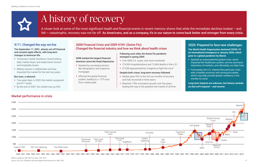### Market performance in crisis

#### 2020: Prepared to face new challenges

**The World Health Organization declared COVID-19 an international emergency in January 2020, which grew to a global pandemic by March.** 

- **Sparked an unprecedented global crisis, which** impacted the healthcare system, service and travel industries, oil markets, and ultimately, our daily lives
- **Fortunately, the U.S. entered this particular crisis** with a healthy economy and strong job market, which may help provide greater resiliency in the months to come
- **Temporary market shutdown; record-setting** daily market drops; and steep travel, tourism and hospitality losses
- **Military actions in Afghanistan and Iraq** impacted the market for the next two years

**Long-term impacts are unknown, but history reminds us that we'll respond — and recover.**

### 9/11: Changed the way we live

#### The September 11, 2001, attacks set off financial and societal ripple effects, with long-term changes to American life.

- **Sparked by converging factors** like deregulation and subprime mortgages
- **Affected the global financial** system, leading to a −57% loss from market peak
- Over 60M U.S. cases, and more worldwide
- <sup>2</sup> 274,304 hospitalizations and 12,469 deaths in the U.S.<sup>2</sup>
- **S7.65B appropriated by Congress to fight the virus**<sup>3</sup>

#### But soon, a rebound:

- Two years later, in 2003, the market surpassed pre-9/11 levels
- By the end of 2007, the market was up 34%
- Market grew 53% in the first six months of recovery and fully recovered in three years
- Reached 178% cumulative growth over five years, leading the way to the greatest bull market of all time

A closer look at some of the most significant health and financial events in recent memory shows that while the immediate declines looked — and felt – catastrophic, recovery was not far off. As Americans, and as a company, it's in our nature to come back better and stronger from every crisis.

#### 2008 marked the largest financial downturn since the Great Depression.

#### Following soon after, the Swine Flu pandemic emerged in spring 2009.



#### Despite both crises, long-term recovery followed:

### 2008 Financial Crisis and 2009 H1N1 (Swine Flu): Changed the financial industry and how we think about health crises

# A history of recovery

Market is defined as S&P 500 Price Index, 1929–2019.

Source: First Trust, "Epidemics and Stock Market Performance Since 1980," 2020. 4

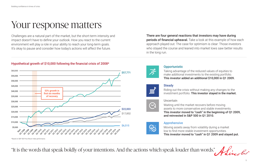## Your response matters

Challenges are a natural part of the market, but the short-term intensity and impact doesn't have to define your outlook. How you react to the current environment will play a role in your ability to reach your long-term goals. It's okay to pause and consider how today's actions will affect the future.

There are four general reactions that investors may have during periods of financial upheaval. Take a look at this example of how each approach played out. The case for optimism is clear: Those investors who stayed the course and leaned into market lows saw better results in the long run.

### Hypothetical growth of \$10,000 following the financial crisis of 2008\*

Taking advantage of the reduced values of equities to make additional investments to the existing portfolio. This investor added an additional \$10,000 in Q1 2009.



Riding out the crisis without making any changes to the investment portfolio. This investor stayed in the market.



Waiting until the market recovers before moving assets to more conservative and stable investments. This investor moved to "cash" in the beginning of Q1 2009, and reinvested in S&P 500 in Q1 2010.

Moving assets away from volatility during a market low to find more stable investment opportunities. This investor moved to "cash" in Q1 2009 and stayed put.

"It is the words that speak boldly of your intentions. And the actions which speak louder than words."





## **Opportunistic**

\$22,003 \$17,852 Apprehensive \$6,515 S Q42016 Q22015 **OAZOIS OLL2D16** Q22014 Q42014 de da<br>Dr<sup>ydde</sup> al da O<sup>A 200</sup>9 O2 2010 a<sub>ndo</sub> Oz OZ 2ndyz 22 02 02 1<sup>6</sup> 2017<br>Q2 04 2017 11 018 **PAR 018** O2 2019 Och 2019 Q22011 11.2011 \*Based on S&P 500 Price Return Index performance.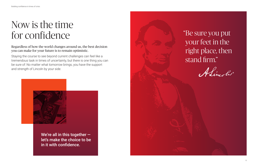## Now is the time for confidence

Regardless of how the world changes around us, the best decision you can make for your future is to remain optimistic.

Staying the course to see beyond current challenges can feel like a tremendous task in times of uncertainty, but there is one thing you can be sure of: No matter what tomorrow brings, you have the support and strength of Lincoln by your side.



We're all in this together  let's make the choice to be in it with confidence.



## "Be sure you put your feet in the right place, then stand firm."